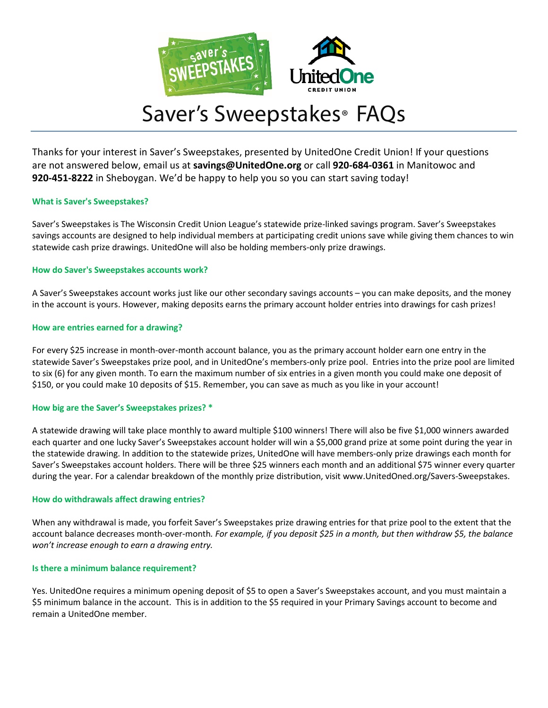

# Saver's Sweepstakes® FAQs

Thanks for your interest in Saver's Sweepstakes, presented by UnitedOne Credit Union! If your questions are not answered below, email us at **savings@UnitedOne.org** or call **920-684-0361** in Manitowoc and **920-451-8222** in Sheboygan. We'd be happy to help you so you can start saving today!

# **What is Saver's Sweepstakes?**

Saver's Sweepstakes is The Wisconsin Credit Union League's statewide prize-linked savings program. Saver's Sweepstakes savings accounts are designed to help individual members at participating credit unions save while giving them chances to win statewide cash prize drawings. UnitedOne will also be holding members-only prize drawings.

# **How do Saver's Sweepstakes accounts work?**

A Saver's Sweepstakes account works just like our other secondary savings accounts – you can make deposits, and the money in the account is yours. However, making deposits earns the primary account holder entries into drawings for cash prizes!

# **How are entries earned for a drawing?**

For every \$25 increase in month-over-month account balance, you as the primary account holder earn one entry in the statewide Saver's Sweepstakes prize pool, and in UnitedOne's members-only prize pool. Entries into the prize pool are limited to six (6) for any given month. To earn the maximum number of six entries in a given month you could make one deposit of \$150, or you could make 10 deposits of \$15. Remember, you can save as much as you like in your account!

# **How big are the Saver's Sweepstakes prizes? \***

A statewide drawing will take place monthly to award multiple \$100 winners! There will also be five \$1,000 winners awarded each quarter and one lucky Saver's Sweepstakes account holder will win a \$5,000 grand prize at some point during the year in the statewide drawing. In addition to the statewide prizes, UnitedOne will have members-only prize drawings each month for Saver's Sweepstakes account holders. There will be three \$25 winners each month and an additional \$75 winner every quarter during the year. For a calendar breakdown of the monthly prize distribution, visit [www.UnitedOned.org/Savers-Sweepstakes.](http://www.unitedoned.org/SaversSweepstakes)

# **How do withdrawals affect drawing entries?**

When any withdrawal is made, you forfeit Saver's Sweepstakes prize drawing entries for that prize pool to the extent that the account balance decreases month-over-month*. For example, if you deposit \$25 in a month, but then withdraw \$5, the balance won't increase enough to earn a drawing entry.*

# **Is there a minimum balance requirement?**

Yes. UnitedOne requires a minimum opening deposit of \$5 to open a Saver's Sweepstakes account, and you must maintain a \$5 minimum balance in the account. This is in addition to the \$5 required in your Primary Savings account to become and remain a UnitedOne member.